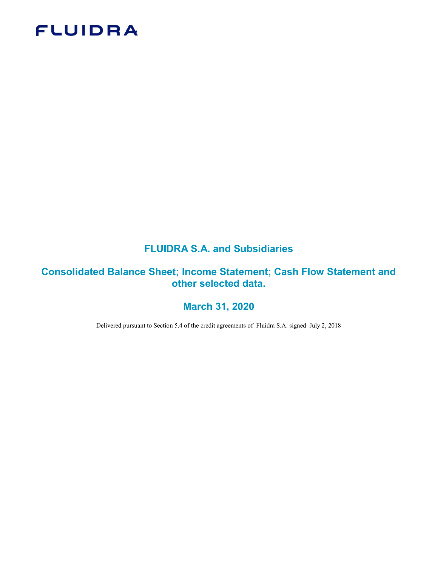# **FLUIDRA**

## FLUIDRA S.A. and Subsidiaries

## Consolidated Balance Sheet; Income Statement; Cash Flow Statement and other selected data.

## March 31, 2020

Delivered pursuant to Section 5.4 of the credit agreements of Fluidra S.A. signed July 2, 2018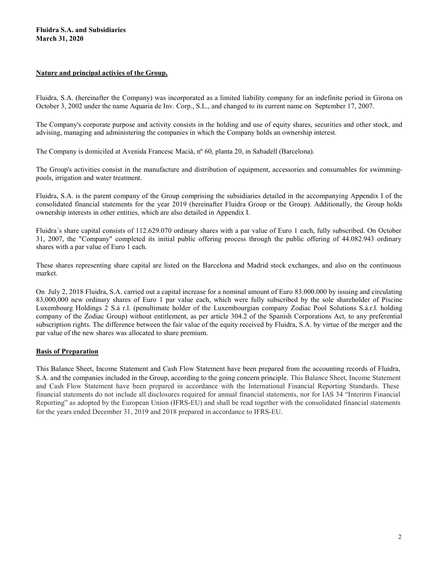## Nature and principal activies of the Group.

Fluidra, S.A. (hereinafter the Company) was incorporated as a limited liability company for an indefinite period in Girona on October 3, 2002 under the name Aquaria de Inv. Corp., S.L., and changed to its current name on September 17, 2007.

The Company's corporate purpose and activity consists in the holding and use of equity shares, securities and other stock, and advising, managing and administering the companies in which the Company holds an ownership interest.

The Company is domiciled at Avenida Francesc Macià, nº 60, planta 20, in Sabadell (Barcelona).

The Group's activities consist in the manufacture and distribution of equipment, accessories and consumables for swimmingpools, irrigation and water treatment.

Fluidra, S.A. is the parent company of the Group comprising the subsidiaries detailed in the accompanying Appendix I of the consolidated financial statements for the year 2019 (hereinafter Fluidra Group or the Group). Additionally, the Group holds ownership interests in other entities, which are also detailed in Appendix I.

Fluidra´s share capital consists of 112.629.070 ordinary shares with a par value of Euro 1 each, fully subscribed. On October 31, 2007, the "Company" completed its initial public offering process through the public offering of 44.082.943 ordinary shares with a par value of Euro 1 each.

These shares representing share capital are listed on the Barcelona and Madrid stock exchanges, and also on the continuous market.

On July 2, 2018 Fluidra, S.A. carried out a capital increase for a nominal amount of Euro 83.000.000 by issuing and circulating 83,000,000 new ordinary shares of Euro 1 par value each, which were fully subscribed by the sole shareholder of Piscine Luxembourg Holdings 2 S.à r.l. (penultimate holder of the Luxembourgian company Zodiac Pool Solutions S.à.r.l. holding company of the Zodiac Group) without entitlement, as per article 304.2 of the Spanish Corporations Act, to any preferential subscription rights. The difference between the fair value of the equity received by Fluidra, S.A. by virtue of the merger and the par value of the new shares was allocated to share premium.

### Basis of Preparation

This Balance Sheet, Income Statement and Cash Flow Statement have been prepared from the accounting records of Fluidra, S.A. and the companies included in the Group, according to the going concern principle. This Balance Sheet, Income Statement and Cash Flow Statement have been prepared in accordance with the International Financial Reporting Standards. These financial statements do not include all disclosures required for annual financial statements, nor for IAS 34 "Interirm Financial Reporting" as adopted by the European Union (IFRS-EU) and shall be read together with the consolidated financial statements for the years ended December 31, 2019 and 2018 prepared in accordance to IFRS-EU.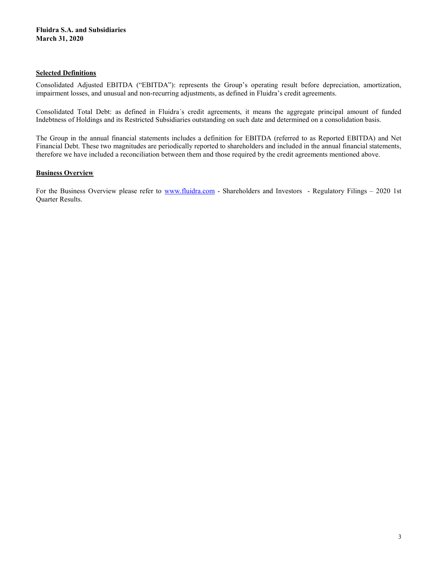## Selected Definitions

Consolidated Adjusted EBITDA ("EBITDA"): represents the Group's operating result before depreciation, amortization, impairment losses, and unusual and non-recurring adjustments, as defined in Fluidra's credit agreements.

Consolidated Total Debt: as defined in Fluidra´s credit agreements, it means the aggregate principal amount of funded Indebtness of Holdings and its Restricted Subsidiaries outstanding on such date and determined on a consolidation basis.

The Group in the annual financial statements includes a definition for EBITDA (referred to as Reported EBITDA) and Net Financial Debt. These two magnitudes are periodically reported to shareholders and included in the annual financial statements, therefore we have included a reconciliation between them and those required by the credit agreements mentioned above.

## **Business Overview**

For the Business Overview please refer to www.fluidra.com - Shareholders and Investors - Regulatory Filings – 2020 1st Quarter Results.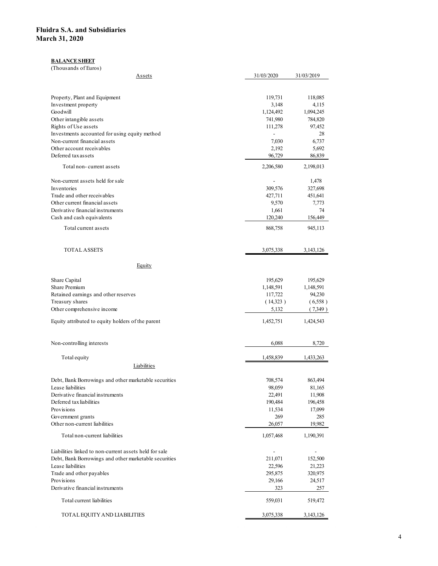#### **BALANCE SHEET**

| idra S.A. and Subsidiaries<br>rch 31, 2020                                                                      |                                     |                                     |
|-----------------------------------------------------------------------------------------------------------------|-------------------------------------|-------------------------------------|
|                                                                                                                 |                                     |                                     |
|                                                                                                                 |                                     |                                     |
|                                                                                                                 |                                     |                                     |
|                                                                                                                 |                                     |                                     |
|                                                                                                                 |                                     |                                     |
| <b>BALANCE SHEET</b>                                                                                            |                                     |                                     |
| (Thousands of Euros)                                                                                            |                                     |                                     |
| <b>Assets</b>                                                                                                   | 31/03/2020                          | 31/03/2019                          |
| Property, Plant and Equipment                                                                                   | 119,731                             | 118,085                             |
| Investment property<br>Goodwill                                                                                 | 3,148<br>1,124,492                  | 4,115<br>1,094,245                  |
| Other intangible assets                                                                                         | 741,980                             | 784,820                             |
| Rights of Use assets<br>Investments accounted for using equity method                                           | 111,278<br>$\blacksquare$           | 97,452<br>28                        |
| Non-current financial assets                                                                                    | 7,030                               | 6,737                               |
| Other account receivables<br>Deferred tax assets                                                                | 2,192<br>96,729                     | 5,692<br>86,839                     |
| Total non-current assets                                                                                        | 2,206,580                           | 2,198,013                           |
| Non-current assets held for sale                                                                                | $\sim$                              | 1,478                               |
| Inventories<br>Trade and other receivables                                                                      | 309,576<br>427,711                  | 327,698<br>451,641                  |
| Other current financial assets                                                                                  | 9,570                               | 7,773                               |
| Derivative financial instruments<br>Cash and cash equivalents                                                   | 1,661<br>120,240                    | 74<br>156,449                       |
| Total current assets                                                                                            | 868,758                             | 945,113                             |
|                                                                                                                 |                                     |                                     |
| TOTAL ASSETS                                                                                                    | 3,075,338                           | 3,143,126                           |
| Equity                                                                                                          |                                     |                                     |
| Share Capital                                                                                                   | 195,629                             | 195,629                             |
| Share Premium                                                                                                   | 1,148,591<br>117,722                | 1,148,591<br>94,230                 |
| Retained earnings and other reserves<br>Treasury shares                                                         | (14,323)                            | (6,558)                             |
| Other comprehensive income                                                                                      | 5,132                               | (7,349)                             |
| Equity attributed to equity holders of the parent                                                               | 1,452,751                           | 1,424,543                           |
| Non-controlling interests                                                                                       | 6,088                               | 8,720                               |
| Total equity                                                                                                    | 1,458,839                           | 1,433,263                           |
| Liabilities                                                                                                     |                                     |                                     |
| Debt, Bank Borrowings and other marketable securities                                                           | 708,574                             | 863,494                             |
| Lease liabilities<br>Derivative financial instruments                                                           | 98,059<br>22,491                    | 81,165<br>11,908                    |
| Deferred tax liabilities                                                                                        | 190,484                             | 196,458                             |
| Provisions<br>Government grants                                                                                 | 11,534<br>269                       | 17,099<br>285                       |
| Other non-current liabilities                                                                                   | 26,057                              | 19,982                              |
| Total non-current liabilities                                                                                   | 1,057,468                           | 1,190,391                           |
| Liabilities linked to non-current assets held for sale<br>Debt, Bank Borrowings and other marketable securities | $\overline{\phantom{a}}$<br>211,071 | $\overline{\phantom{a}}$<br>152,500 |
| Lease liabilities                                                                                               | 22,596                              | 21,223                              |
| Trade and other payables<br>Provisions                                                                          | 295,875<br>29,166                   | 320,975<br>24,517                   |
| Derivative financial instruments                                                                                | 323                                 | 257                                 |
| Total current liabilities                                                                                       | 559,031                             | 519,472                             |
| TOTAL EQUITY AND LIABILITIES                                                                                    | 3,075,338                           | 3,143,126                           |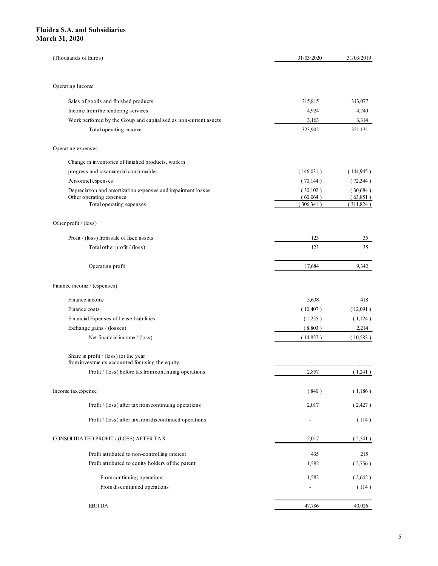| dra S.A. and Subsidiaries<br>ch 31, 2020                                                           |                                   |                       |
|----------------------------------------------------------------------------------------------------|-----------------------------------|-----------------------|
|                                                                                                    |                                   |                       |
|                                                                                                    |                                   |                       |
|                                                                                                    |                                   |                       |
|                                                                                                    |                                   |                       |
|                                                                                                    |                                   |                       |
|                                                                                                    |                                   |                       |
|                                                                                                    |                                   |                       |
|                                                                                                    |                                   |                       |
|                                                                                                    |                                   |                       |
| (Thousands of Euros)                                                                               | 31/03/2020                        | 31/03/2019            |
|                                                                                                    |                                   |                       |
| Operating Income                                                                                   |                                   |                       |
| Sales of goods and finished products                                                               | 315,815                           | 313,077               |
| Income from the rendering services                                                                 | 4,924                             | 4,740                 |
| Work perfomed by the Group and capitalised as non-current assets                                   | 3,163                             | 3,314                 |
| Total operating income                                                                             | 323,902                           | 321,131               |
| Operating expenses                                                                                 |                                   |                       |
|                                                                                                    |                                   |                       |
| Change in inventories of finished products, work in<br>progress and raw material consumables       | (146,031)                         | (144, 945)            |
| Personnel expenses                                                                                 | (70,144)                          | (72,344)              |
| Depreciation and amortization expenses and impairment losses                                       | (30,102)                          | (30,684)              |
| Other operating expenses<br>Total operating expenses                                               | (60,064)<br>(306, 341)            | (63,851)<br>(311,824) |
|                                                                                                    |                                   |                       |
| Other profit / (loss)                                                                              |                                   |                       |
| Profit / (loss) from sale of fixed assets                                                          | 123                               | 35                    |
| Total other profit / (loss)                                                                        | 123                               | 35                    |
|                                                                                                    |                                   |                       |
| Operating profit                                                                                   | 17,684                            | 9,342                 |
| Finance income / (expenses)                                                                        |                                   |                       |
| Finance income                                                                                     | 5,638                             | 418                   |
| Finance costs                                                                                      | (10,407)                          | (12,091)              |
| Financial Expenses of Lease Liabilities                                                            | (1,255)                           | (1,124)               |
| Exchange gains / (losses)                                                                          | (8,803)                           | 2,214                 |
| Net financial income / (loss)                                                                      | (14,827)                          | (10,583)              |
| Share in profit / (loss) for the year                                                              |                                   |                       |
| from investments accounted for using the equity                                                    | $\sim$                            | $\sim$                |
| Profit / (loss) before tax from continuing operations                                              | 2,857                             | (1,241)               |
| Income tax expense                                                                                 | (840)                             | (1,186)               |
| Profit / (loss) after tax from continuing operations                                               | 2,017                             | (2,427)               |
|                                                                                                    |                                   |                       |
| Profit / (loss) after tax from discontinued operations                                             | $\overline{\phantom{a}}$          | (114)                 |
| CONSOLIDATED PROFIT / ${\rm (LOSS)}$ AFTER TAX                                                     | 2,017                             | (2,541)               |
|                                                                                                    |                                   |                       |
| Profit attributed to non-controlling interest<br>Profit attributed to equity holders of the parent | 435<br>1,582                      | 215<br>(2,756)        |
|                                                                                                    |                                   |                       |
| From continuing operations<br>From discontinued operations                                         | 1,582<br>$\overline{\phantom{a}}$ | (2,642)<br>(114)      |
|                                                                                                    |                                   |                       |
|                                                                                                    |                                   |                       |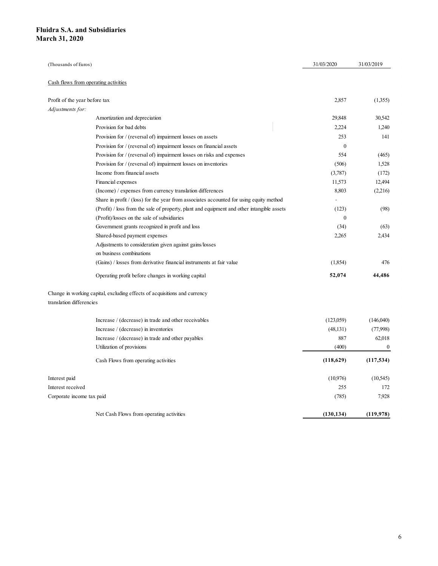| uidra S.A. and Subsidiaries<br>arch 31, 2020   |                                                                                            |              |            |
|------------------------------------------------|--------------------------------------------------------------------------------------------|--------------|------------|
|                                                |                                                                                            |              |            |
|                                                |                                                                                            |              |            |
|                                                |                                                                                            |              |            |
|                                                |                                                                                            |              |            |
|                                                |                                                                                            |              |            |
|                                                |                                                                                            |              |            |
|                                                |                                                                                            |              |            |
|                                                |                                                                                            |              |            |
|                                                |                                                                                            |              |            |
|                                                |                                                                                            |              |            |
|                                                |                                                                                            |              |            |
|                                                |                                                                                            |              |            |
|                                                |                                                                                            |              |            |
|                                                |                                                                                            |              |            |
| (Thousands of Euros)                           |                                                                                            | 31/03/2020   | 31/03/2019 |
|                                                |                                                                                            |              |            |
| Cash flows from operating activities           |                                                                                            |              |            |
|                                                |                                                                                            |              |            |
| Profit of the year before tax                  |                                                                                            | 2,857        | (1,355)    |
| Adjustments for:                               |                                                                                            |              |            |
|                                                | Amortization and depreciation                                                              | 29,848       | 30,542     |
|                                                | Provision for bad debts                                                                    | 2,224        | 1,240      |
|                                                | Provision for / (reversal of) impairment losses on assets                                  | 253          | 141        |
|                                                | Provision for / (reversal of) impairment losses on financial assets                        | $\mathbf{0}$ |            |
|                                                | Provision for / (reversal of) impairment losses on risks and expenses                      | 554          | (465)      |
|                                                | Provision for / (reversal of) impairment losses on inventories                             | (506)        | 1,528      |
|                                                | Income from financial assets                                                               | (3,787)      | (172)      |
|                                                | Financial expenses                                                                         | 11,573       | 12,494     |
|                                                | (Income) $/$ expenses from currency translation differences                                | 8,803        | (2,216)    |
|                                                | Share in profit / (loss) for the year from associates accounted for using equity method    |              |            |
|                                                |                                                                                            |              |            |
|                                                | (Profit) / loss from the sale of property, plant and equipment and other intangible assets | (123)        | (98)       |
|                                                | (Profit)/losses on the sale of subsidiaries                                                | $\bf{0}$     |            |
|                                                | Government grants recognized in profit and loss                                            | (34)         | (63)       |
|                                                | Shared-based payment expenses                                                              | 2,265        | 2,434      |
|                                                | Adjustments to consideration given against gains/losses                                    |              |            |
|                                                | on business combinations                                                                   |              |            |
|                                                | (Gains) / losses from derivative financial instruments at fair value                       | (1,854)      | 476        |
|                                                | Operating profit before changes in working capital                                         | 52,074       | 44,486     |
| translation differencies                       | Change in working capital, excluding effects of acquisitions and currency                  |              |            |
|                                                |                                                                                            |              |            |
|                                                | Increase / (decrease) in trade and other receivables                                       | (123,059)    | (146,040)  |
|                                                | Increase / (decrease) in inventories                                                       | (48, 131)    | (77,998)   |
|                                                | Increase / (decrease) in trade and other payables                                          | 887          | 62,018     |
|                                                | Utilization of provisions                                                                  | (400)        | $\bf{0}$   |
|                                                | Cash Flows from operating activities                                                       | (118,629)    | (117, 534) |
|                                                |                                                                                            | (10, 976)    | (10, 545)  |
| Interest paid                                  |                                                                                            | 255          | 172        |
|                                                |                                                                                            | (785)        | 7,928      |
| Interest received<br>Corporate income tax paid |                                                                                            |              |            |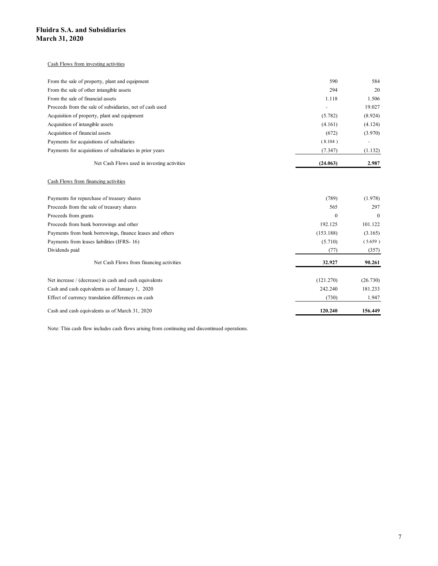#### Cash Flows from investing activities

| idra S.A. and Subsidiaries                                                                          |                      |                    |
|-----------------------------------------------------------------------------------------------------|----------------------|--------------------|
| rch 31, 2020                                                                                        |                      |                    |
|                                                                                                     |                      |                    |
| Cash Flows from investing activities                                                                |                      |                    |
|                                                                                                     |                      |                    |
| From the sale of property, plant and equipment                                                      | 590                  | 584                |
| From the sale of other intangible assets                                                            | 294                  | 20                 |
| From the sale of financial assets                                                                   | 1.118                | 1.506              |
| Proceeds from the sale of subsidiaries, net of cash used                                            | $\sim$               | 19.027             |
| Acquisition of property, plant and equipment<br>Acquisition of intangible assets                    | (5.782)<br>(4.161)   | (8.924)<br>(4.124) |
| Acquisition of financial assets                                                                     | (672)                | (3.970)            |
| Payments for acquisitions of subsidiaries                                                           | (8.104)              | $\sim$             |
| Payments for acquisitions of subsidiaries in prior years                                            | (7.347)              | (1.132)            |
| Net Cash Flows used in investing activities                                                         | (24.063)             | 2.987              |
| Cash Flows from financing activities                                                                |                      |                    |
|                                                                                                     |                      |                    |
| Payments for repurchase of treasury shares                                                          | (789)                | (1.978)            |
| Proceeds from the sale of treasury shares                                                           | 565                  | 297                |
| Proceeds from grants                                                                                | $\bf{0}$             | $\boldsymbol{0}$   |
| Proceeds from bank borrowings and other<br>Payments from bank borrowings, finance leases and others | 192.125              | 101.122            |
| Payments from leases liabilities (IFRS- 16)                                                         | (153.188)<br>(5.710) | (3.165)            |
| Dividends paid                                                                                      | (77)                 | (5.659)<br>(357)   |
|                                                                                                     |                      |                    |
| Net Cash Flows from financing activities                                                            | 32.927               | 90.261             |
| Not increase (decrease) in each and each cavivalents                                                | (121.270)            | (26.720)           |

### Cash Flows from financing activities

| Cash Flows from investing activities                                                          |           |          |
|-----------------------------------------------------------------------------------------------|-----------|----------|
|                                                                                               |           |          |
| From the sale of property, plant and equipment                                                | 590       | 584      |
| From the sale of other intangible assets                                                      | 294       | 20       |
| From the sale of financial assets                                                             | 1.118     | 1.506    |
| Proceeds from the sale of subsidiaries, net of cash used                                      | ÷.        | 19.027   |
| Acquisition of property, plant and equipment                                                  | (5.782)   | (8.924)  |
| Acquisition of intangible assets                                                              | (4.161)   | (4.124)  |
| Acquisition of financial assets                                                               | (672)     | (3.970)  |
| Payments for acquisitions of subsidiaries                                                     | (8.104)   | $\sim$   |
| Payments for acquisitions of subsidiaries in prior years                                      | (7.347)   | (1.132)  |
| Net Cash Flows used in investing activities                                                   | (24.063)  | 2.987    |
|                                                                                               |           |          |
| Cash Flows from financing activities                                                          |           |          |
| Payments for repurchase of treasury shares                                                    | (789)     | (1.978)  |
| Proceeds from the sale of treasury shares                                                     | 565       | 297      |
| Proceeds from grants                                                                          | $\bf{0}$  | $\Omega$ |
| Proceeds from bank borrowings and other                                                       | 192.125   | 101.122  |
| Payments from bank borrowings, finance leases and others                                      | (153.188) | (3.165)  |
| Payments from leases liabilities (IFRS- 16)                                                   | (5.710)   | (5.659)  |
| Dividends paid                                                                                | (77)      | (357)    |
| Net Cash Flows from financing activities                                                      | 32.927    | 90.261   |
| Net increase / (decrease) in cash and cash equivalents                                        | (121.270) | (26.730) |
| Cash and cash equivalents as of January 1, 2020                                               | 242.240   | 181.233  |
| Effect of currency translation differences on cash                                            | (730)     | 1.947    |
| Cash and cash equivalents as of March 31, 2020                                                | 120.240   | 156.449  |
|                                                                                               |           |          |
| Note: This cash flow includes cash flows arising from continuing and discontinued operations. |           |          |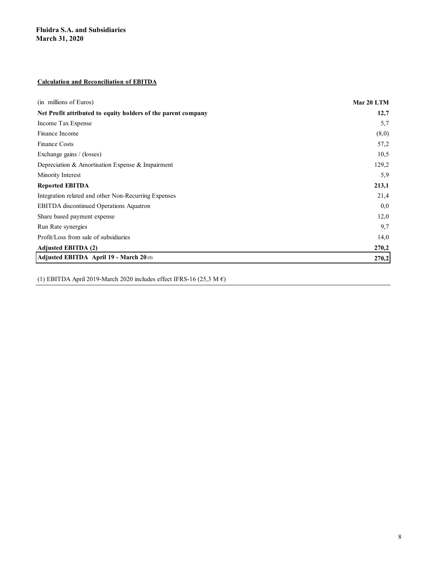## Calculation and Reconciliation of EBITDA

| <b>Fluidra S.A. and Subsidiaries</b><br><b>March 31, 2020</b> |            |
|---------------------------------------------------------------|------------|
|                                                               |            |
|                                                               |            |
|                                                               |            |
| <b>Calculation and Reconciliation of EBITDA</b>               |            |
| (in millions of Euros)                                        | Mar 20 LTM |
| Net Profit attributed to equity holders of the parent company | 12,7       |
| Income Tax Expense                                            | 5,7        |
| Finance Income                                                | (8,0)      |
| Finance Costs                                                 | 57,2       |
| Exchange gains / (losses)                                     | 10,5       |
| Depreciation & Amortisation Expense & Impairment              | 129,2      |
| Minority Interest                                             | 5,9        |
| <b>Reported EBITDA</b>                                        | 213,1      |
| Integration related and other Non-Recurring Expenses          | 21,4       |
| EBITDA discontinued Operations Aquatron                       | 0,0        |
| Share based payment expense                                   | 12,0       |
| Run Rate synergies                                            | 9,7        |
| Profit/Loss from sale of subsidiaries                         | 14,0       |
| Adjusted EBITDA (2)                                           | 270,2      |
| Adjusted EBITDA April 19 - March 20(1)                        | 270,2      |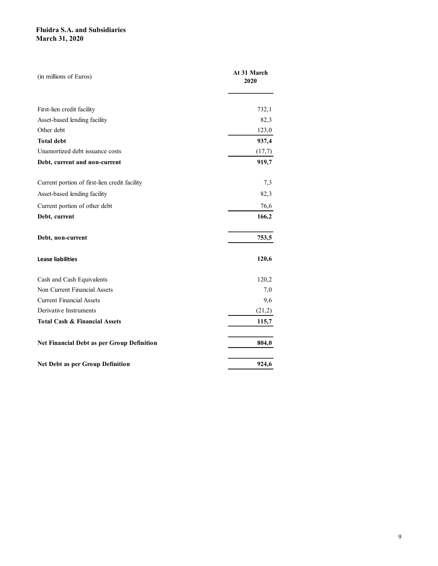| <b>Fluidra S.A. and Subsidiaries</b>                      |                     |  |
|-----------------------------------------------------------|---------------------|--|
|                                                           |                     |  |
| <b>March 31, 2020</b>                                     |                     |  |
|                                                           |                     |  |
|                                                           |                     |  |
| (in millions of Euros)                                    | At 31 March<br>2020 |  |
|                                                           |                     |  |
|                                                           |                     |  |
| First-lien credit facility                                | 732,1               |  |
| Asset-based lending facility                              | 82,3                |  |
| Other debt                                                | 123,0               |  |
| <b>Total debt</b>                                         | 937,4               |  |
| Unamortized debt issuance costs                           | (17,7)              |  |
| Debt, current and non-current                             | 919,7               |  |
| Current portion of first-lien credit facility             | 7,3                 |  |
| Asset-based lending facility                              | 82,3                |  |
| Current portion of other debt                             | 76,6                |  |
| Debt, current                                             | 166,2               |  |
|                                                           |                     |  |
| Debt, non-current                                         | 753,5               |  |
|                                                           |                     |  |
| <b>Lease liabilities</b>                                  | 120,6               |  |
|                                                           |                     |  |
| Cash and Cash Equivalents<br>Non Current Financial Assets | 120,2               |  |
| <b>Current Financial Assets</b>                           | 7,0<br>9,6          |  |
| Derivative Instruments                                    | (21,2)              |  |
| <b>Total Cash &amp; Financial Assets</b>                  | 115,7               |  |
|                                                           |                     |  |
| Net Financial Debt as per Group Definition                | 804,0               |  |
|                                                           |                     |  |
| Net Debt as per Group Definition                          | 924,6               |  |